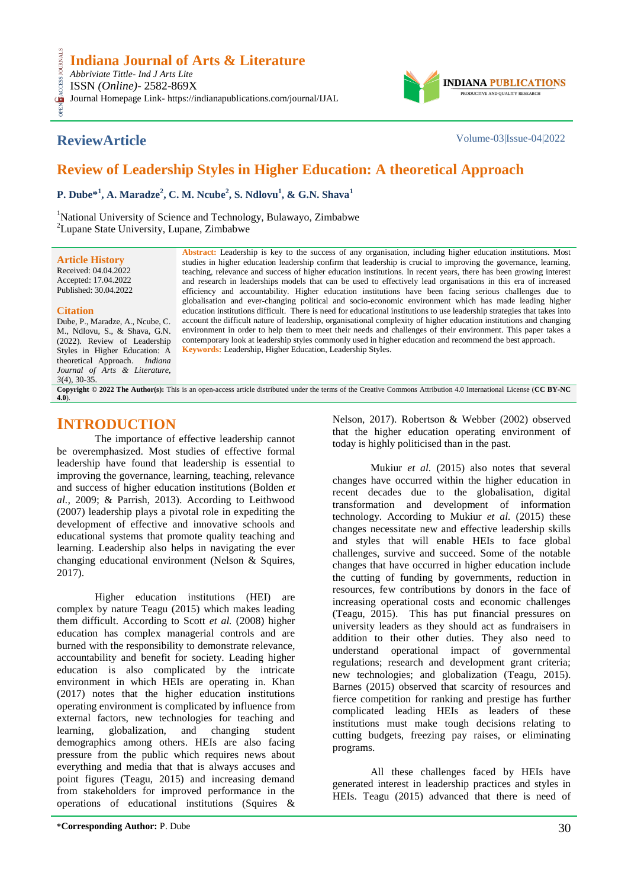## **Indiana Journal of Arts & Literature**

*Abbriviate Tittle- Ind J Arts Lite* ISSN *(Online)*- 2582-869X Journal Homepage Link- https://indianapublications.com/journal/IJAL

OPEN ACCESS JOURNALS

**CESS** 

**ReviewArticle** Volume-03|Issue-04|2022

**INDIANA** PRODUCTIVE AND QUALITY RESEARCH

# **Review of Leadership Styles in Higher Education: A theoretical Approach**

**P. Dube\*<sup>1</sup> , A. Maradze<sup>2</sup> , C. M. Ncube<sup>2</sup> , S. Ndlovu<sup>1</sup> , & G.N. Shava<sup>1</sup>**

<sup>1</sup>National University of Science and Technology, Bulawayo, Zimbabwe <sup>2</sup>Lupane State University, Lupane, Zimbabwe

**Article History** Received: 04.04.2022 Accepted: 17.04.2022 Published: 30.04.2022

#### **Citation**

Dube, P., Maradze, A., Ncube, C. M., Ndlovu, S., & Shava, G.N. (2022). Review of Leadership Styles in Higher Education: A theoretical Approach. *Indiana Journal of Arts & Literature, 3*(4), 30-35.

#### **Abstract:** Leadership is key to the success of any organisation, including higher education institutions. Most studies in higher education leadership confirm that leadership is crucial to improving the governance, learning, teaching, relevance and success of higher education institutions. In recent years, there has been growing interest and research in leaderships models that can be used to effectively lead organisations in this era of increased efficiency and accountability. Higher education institutions have been facing serious challenges due to globalisation and ever-changing political and socio-economic environment which has made leading higher education institutions difficult. There is need for educational institutions to use leadership strategies that takes into account the difficult nature of leadership, organisational complexity of higher education institutions and changing environment in order to help them to meet their needs and challenges of their environment. This paper takes a contemporary look at leadership styles commonly used in higher education and recommend the best approach. **Keywords:** Leadership, Higher Education, Leadership Styles.

**Copyright © 2022 The Author(s):** This is an open-access article distributed under the terms of the Creative Commons Attribution 4.0 International License (**[CC BY-NC](https://creativecommons.org/licenses/by-nc/4.0/)  [4.0](https://creativecommons.org/licenses/by-nc/4.0/)**).

## **INTRODUCTION**

The importance of effective leadership cannot be overemphasized. Most studies of effective formal leadership have found that leadership is essential to improving the governance, learning, teaching, relevance and success of higher education institutions (Bolden *et al.,* 2009; & Parrish, 2013). According to Leithwood (2007) leadership plays a pivotal role in expediting the development of effective and innovative schools and educational systems that promote quality teaching and learning. Leadership also helps in navigating the ever changing educational environment (Nelson & Squires, 2017).

Higher education institutions (HEI) are complex by nature Teagu (2015) which makes leading them difficult. According to Scott *et al.* (2008) higher education has complex managerial controls and are burned with the responsibility to demonstrate relevance, accountability and benefit for society. Leading higher education is also complicated by the intricate environment in which HEIs are operating in. Khan (2017) notes that the higher education institutions operating environment is complicated by influence from external factors, new technologies for teaching and learning, globalization, and changing student demographics among others. HEIs are also facing pressure from the public which requires news about everything and media that that is always accuses and point figures (Teagu, 2015) and increasing demand from stakeholders for improved performance in the operations of educational institutions (Squires &

Nelson, 2017). Robertson & Webber (2002) observed that the higher education operating environment of today is highly politicised than in the past.

Mukiur *et al.* (2015) also notes that several changes have occurred within the higher education in recent decades due to the globalisation, digital transformation and development of information technology. According to Mukiur *et al.* (2015) these changes necessitate new and effective leadership skills and styles that will enable HEIs to face global challenges, survive and succeed. Some of the notable changes that have occurred in higher education include the cutting of funding by governments, reduction in resources, few contributions by donors in the face of increasing operational costs and economic challenges (Teagu, 2015). This has put financial pressures on university leaders as they should act as fundraisers in addition to their other duties. They also need to understand operational impact of governmental regulations; research and development grant criteria; new technologies; and globalization (Teagu, 2015). Barnes (2015) observed that scarcity of resources and fierce competition for ranking and prestige has further complicated leading HEIs as leaders of these institutions must make tough decisions relating to cutting budgets, freezing pay raises, or eliminating programs.

All these challenges faced by HEIs have generated interest in leadership practices and styles in HEIs. Teagu (2015) advanced that there is need of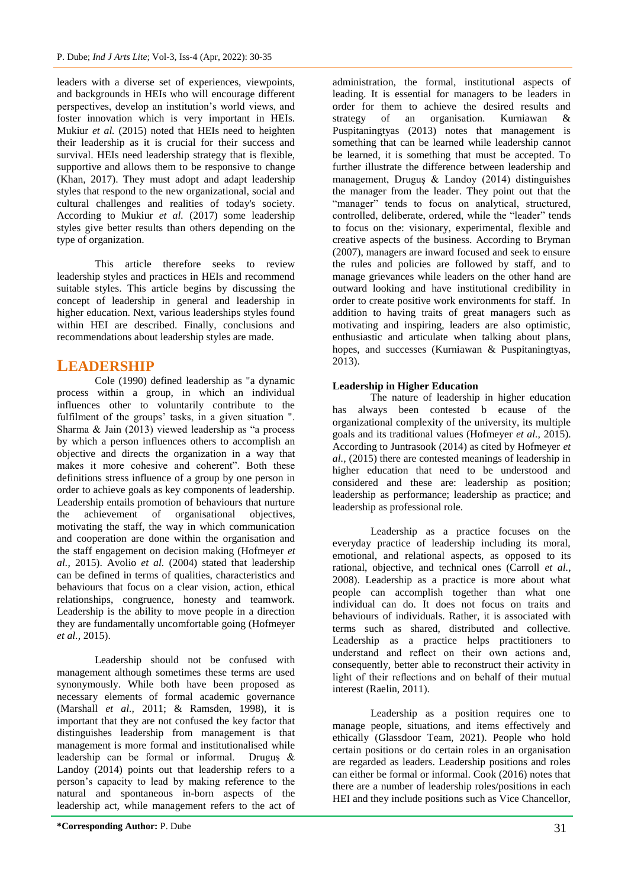leaders with a diverse set of experiences, viewpoints, and backgrounds in HEIs who will encourage different perspectives, develop an institution"s world views, and foster innovation which is very important in HEIs. Mukiur *et al.* (2015) noted that HEIs need to heighten their leadership as it is crucial for their success and survival. HEIs need leadership strategy that is flexible, supportive and allows them to be responsive to change (Khan, 2017). They must adopt and adapt leadership styles that respond to the new organizational, social and cultural challenges and realities of today's society. According to Mukiur *et al.* (2017) some leadership styles give better results than others depending on the type of organization.

This article therefore seeks to review leadership styles and practices in HEIs and recommend suitable styles. This article begins by discussing the concept of leadership in general and leadership in higher education. Next, various leaderships styles found within HEI are described. Finally, conclusions and recommendations about leadership styles are made.

## **LEADERSHIP**

Cole (1990) defined leadership as "a dynamic process within a group, in which an individual influences other to voluntarily contribute to the fulfilment of the groups' tasks, in a given situation ". Sharma & Jain (2013) viewed leadership as "a process by which a person influences others to accomplish an objective and directs the organization in a way that makes it more cohesive and coherent". Both these definitions stress influence of a group by one person in order to achieve goals as key components of leadership. Leadership entails promotion of behaviours that nurture the achievement of organisational objectives, motivating the staff, the way in which communication and cooperation are done within the organisation and the staff engagement on decision making (Hofmeyer *et al.,* 2015). Avolio *et al.* (2004) stated that leadership can be defined in terms of qualities, characteristics and behaviours that focus on a clear vision, action, ethical relationships, congruence, honesty and teamwork. Leadership is the ability to move people in a direction they are fundamentally uncomfortable going (Hofmeyer *et al.,* 2015).

Leadership should not be confused with management although sometimes these terms are used synonymously. While both have been proposed as necessary elements of formal academic governance (Marshall *et al.,* 2011; & Ramsden, 1998), it is important that they are not confused the key factor that distinguishes leadership from management is that management is more formal and institutionalised while leadership can be formal or informal. Druguş & Landoy (2014) points out that leadership refers to a person"s capacity to lead by making reference to the natural and spontaneous in-born aspects of the leadership act, while management refers to the act of

administration, the formal, institutional aspects of leading. It is essential for managers to be leaders in order for them to achieve the desired results and strategy of an organisation. Kurniawan & Puspitaningtyas (2013) notes that management is something that can be learned while leadership cannot be learned, it is something that must be accepted. To further illustrate the difference between leadership and management, Druguş & Landoy (2014) distinguishes the manager from the leader. They point out that the "manager" tends to focus on analytical, structured, controlled, deliberate, ordered, while the "leader" tends to focus on the: visionary, experimental, flexible and creative aspects of the business. According to Bryman (2007), managers are inward focused and seek to ensure the rules and policies are followed by staff, and to manage grievances while leaders on the other hand are outward looking and have institutional credibility in order to create positive work environments for staff. In addition to having traits of great managers such as motivating and inspiring, leaders are also optimistic, enthusiastic and articulate when talking about plans, hopes, and successes (Kurniawan & Puspitaningtyas, 2013).

### **Leadership in Higher Education**

The nature of leadership in higher education has always been contested b ecause of the organizational complexity of the university, its multiple goals and its traditional values (Hofmeyer *et al.,* 2015). According to Juntrasook (2014) as cited by Hofmeyer *et al.,* (2015) there are contested meanings of leadership in higher education that need to be understood and considered and these are: leadership as position; leadership as performance; leadership as practice; and leadership as professional role.

Leadership as a practice focuses on the everyday practice of leadership including its moral, emotional, and relational aspects, as opposed to its rational, objective, and technical ones (Carroll *et al.,* 2008). Leadership as a practice is more about what people can accomplish together than what one individual can do. It does not focus on traits and behaviours of individuals. Rather, it is associated with terms such as shared, distributed and collective. Leadership as a practice helps practitioners to understand and reflect on their own actions and, consequently, better able to reconstruct their activity in light of their reflections and on behalf of their mutual interest (Raelin, 2011).

Leadership as a position requires one to manage people, situations, and items effectively and ethically (Glassdoor Team, 2021). People who hold certain positions or do certain roles in an organisation are regarded as leaders. Leadership positions and roles can either be formal or informal. Cook (2016) notes that there are a number of leadership roles/positions in each HEI and they include positions such as Vice Chancellor,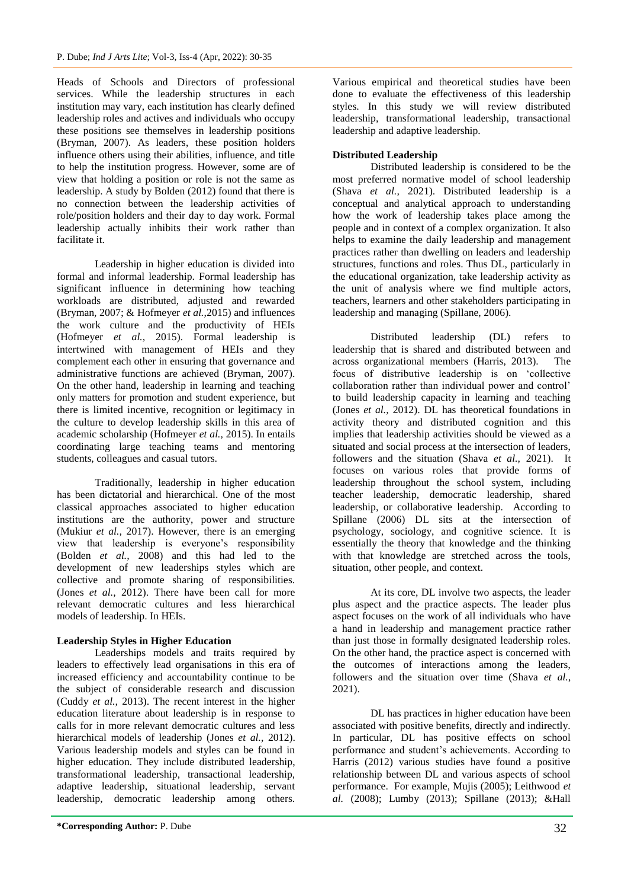Heads of Schools and Directors of professional services. While the leadership structures in each institution may vary, each institution has clearly defined leadership roles and actives and individuals who occupy these positions see themselves in leadership positions (Bryman, 2007). As leaders, these position holders influence others using their abilities, influence, and title to help the institution progress. However, some are of view that holding a position or role is not the same as leadership. A study by Bolden (2012) found that there is no connection between the leadership activities of role/position holders and their day to day work. Formal leadership actually inhibits their work rather than facilitate it.

Leadership in higher education is divided into formal and informal leadership. Formal leadership has significant influence in determining how teaching workloads are distributed, adjusted and rewarded (Bryman, 2007; & Hofmeyer *et al.,*2015) and influences the work culture and the productivity of HEIs (Hofmeyer *et al.,* 2015). Formal leadership is intertwined with management of HEIs and they complement each other in ensuring that governance and administrative functions are achieved (Bryman, 2007). On the other hand, leadership in learning and teaching only matters for promotion and student experience, but there is limited incentive, recognition or legitimacy in the culture to develop leadership skills in this area of academic scholarship (Hofmeyer *et al.,* 2015). In entails coordinating large teaching teams and mentoring students, colleagues and casual tutors.

Traditionally, leadership in higher education has been dictatorial and hierarchical. One of the most classical approaches associated to higher education institutions are the authority, power and structure (Mukiur *et al.,* 2017). However, there is an emerging view that leadership is everyone"s responsibility (Bolden *et al.,* 2008) and this had led to the development of new leaderships styles which are collective and promote sharing of responsibilities. (Jones *et al.,* 2012). There have been call for more relevant democratic cultures and less hierarchical models of leadership. In HEIs.

### **Leadership Styles in Higher Education**

Leaderships models and traits required by leaders to effectively lead organisations in this era of increased efficiency and accountability continue to be the subject of considerable research and discussion (Cuddy *et al.,* 2013). The recent interest in the higher education literature about leadership is in response to calls for in more relevant democratic cultures and less hierarchical models of leadership (Jones *et al.,* 2012). Various leadership models and styles can be found in higher education. They include distributed leadership, transformational leadership, transactional leadership, adaptive leadership, situational leadership, servant leadership, democratic leadership among others.

## **Distributed Leadership**

Distributed leadership is considered to be the most preferred normative model of school leadership (Shava *et al.,* 2021). Distributed leadership is a conceptual and analytical approach to understanding how the work of leadership takes place among the people and in context of a complex organization. It also helps to examine the daily leadership and management practices rather than dwelling on leaders and leadership structures, functions and roles. Thus DL, particularly in the educational organization, take leadership activity as the unit of analysis where we find multiple actors, teachers, learners and other stakeholders participating in leadership and managing (Spillane, 2006).

Distributed leadership (DL) refers to leadership that is shared and distributed between and across organizational members (Harris, 2013). The focus of distributive leadership is on "collective collaboration rather than individual power and control" to build leadership capacity in learning and teaching (Jones *et al.,* 2012). DL has theoretical foundations in activity theory and distributed cognition and this implies that leadership activities should be viewed as a situated and social process at the intersection of leaders, followers and the situation (Shava *et al.,* 2021). It focuses on various roles that provide forms of leadership throughout the school system, including teacher leadership, democratic leadership, shared leadership, or collaborative leadership. According to Spillane (2006) DL sits at the intersection of psychology, sociology, and cognitive science. It is essentially the theory that knowledge and the thinking with that knowledge are stretched across the tools, situation, other people, and context.

At its core, DL involve two aspects, the leader plus aspect and the practice aspects. The leader plus aspect focuses on the work of all individuals who have a hand in leadership and management practice rather than just those in formally designated leadership roles. On the other hand, the practice aspect is concerned with the outcomes of interactions among the leaders, followers and the situation over time (Shava *et al.,*  2021).

DL has practices in higher education have been associated with positive benefits, directly and indirectly. In particular, DL has positive effects on school performance and student"s achievements. According to Harris (2012) various studies have found a positive relationship between DL and various aspects of school performance. For example, Mujis (2005); Leithwood *et al.* (2008); Lumby (2013); Spillane (2013); &Hall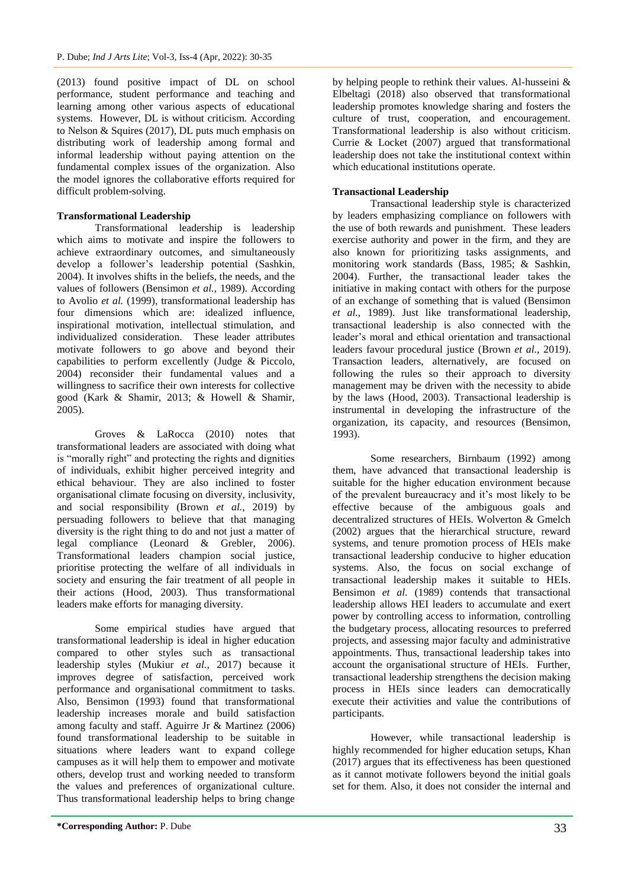(2013) found positive impact of DL on school performance, student performance and teaching and learning among other various aspects of educational systems. However, DL is without criticism. According to Nelson & Squires (2017), DL puts much emphasis on distributing work of leadership among formal and informal leadership without paying attention on the fundamental complex issues of the organization. Also the model ignores the collaborative efforts required for difficult problem-solving.

### **Transformational Leadership**

Transformational leadership is leadership which aims to motivate and inspire the followers to achieve extraordinary outcomes, and simultaneously develop a follower"s leadership potential (Sashkin, 2004). It involves shifts in the beliefs, the needs, and the values of followers (Bensimon *et al.,* 1989). According to Avolio *et al.* (1999), transformational leadership has four dimensions which are: idealized influence, inspirational motivation, intellectual stimulation, and individualized consideration. These leader attributes motivate followers to go above and beyond their capabilities to perform excellently (Judge & Piccolo, 2004) reconsider their fundamental values and a willingness to sacrifice their own interests for collective good (Kark & Shamir, 2013; & Howell & Shamir, 2005).

Groves & LaRocca (2010) notes that transformational leaders are associated with doing what is "morally right" and protecting the rights and dignities of individuals, exhibit higher perceived integrity and ethical behaviour. They are also inclined to foster organisational climate focusing on diversity, inclusivity, and social responsibility (Brown *et al.,* 2019) by persuading followers to believe that that managing diversity is the right thing to do and not just a matter of legal compliance (Leonard & Grebler, 2006). Transformational leaders champion social justice, prioritise protecting the welfare of all individuals in society and ensuring the fair treatment of all people in their actions (Hood, 2003). Thus transformational leaders make efforts for managing diversity.

Some empirical studies have argued that transformational leadership is ideal in higher education compared to other styles such as transactional leadership styles (Mukiur *et al.,* 2017) because it improves degree of satisfaction, perceived work performance and organisational commitment to tasks. Also, Bensimon (1993) found that transformational leadership increases morale and build satisfaction among faculty and staff. Aguirre Jr & Martinez (2006) found transformational leadership to be suitable in situations where leaders want to expand college campuses as it will help them to empower and motivate others, develop trust and working needed to transform the values and preferences of organizational culture. Thus transformational leadership helps to bring change

by helping people to rethink their values. Al-husseini & Elbeltagi (2018) also observed that transformational leadership promotes knowledge sharing and fosters the culture of trust, cooperation, and encouragement. Transformational leadership is also without criticism. Currie & Locket (2007) argued that transformational leadership does not take the institutional context within which educational institutions operate.

### **Transactional Leadership**

Transactional leadership style is characterized by leaders emphasizing compliance on followers with the use of both rewards and punishment. These leaders exercise authority and power in the firm, and they are also known for prioritizing tasks assignments, and monitoring work standards (Bass, 1985; & Sashkin, 2004). Further, the transactional leader takes the initiative in making contact with others for the purpose of an exchange of something that is valued (Bensimon *et al.,* 1989). Just like transformational leadership, transactional leadership is also connected with the leader"s moral and ethical orientation and transactional leaders favour procedural justice (Brown *et al.,* 2019). Transaction leaders, alternatively, are focused on following the rules so their approach to diversity management may be driven with the necessity to abide by the laws (Hood, 2003). Transactional leadership is instrumental in developing the infrastructure of the organization, its capacity, and resources (Bensimon, 1993).

Some researchers, Birnbaum (1992) among them, have advanced that transactional leadership is suitable for the higher education environment because of the prevalent bureaucracy and it"s most likely to be effective because of the ambiguous goals and decentralized structures of HEIs. Wolverton & Gmelch (2002) argues that the hierarchical structure, reward systems, and tenure promotion process of HEIs make transactional leadership conducive to higher education systems. Also, the focus on social exchange of transactional leadership makes it suitable to HEIs. Bensimon *et al.* (1989) contends that transactional leadership allows HEI leaders to accumulate and exert power by controlling access to information, controlling the budgetary process, allocating resources to preferred projects, and assessing major faculty and administrative appointments. Thus, transactional leadership takes into account the organisational structure of HEIs. Further, transactional leadership strengthens the decision making process in HEIs since leaders can democratically execute their activities and value the contributions of participants.

However, while transactional leadership is highly recommended for higher education setups, Khan (2017) argues that its effectiveness has been questioned as it cannot motivate followers beyond the initial goals set for them. Also, it does not consider the internal and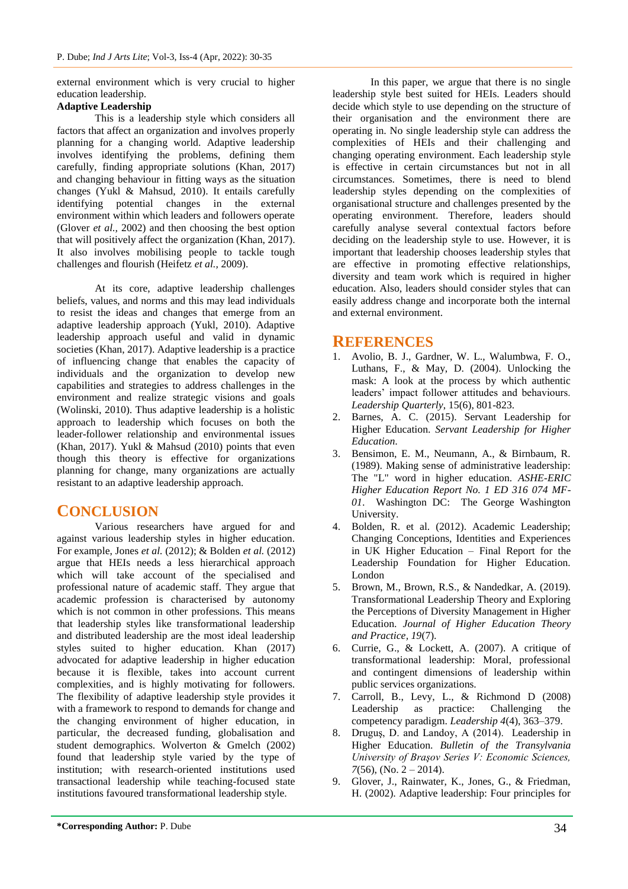external environment which is very crucial to higher education leadership.

#### **Adaptive Leadership**

This is a leadership style which considers all factors that affect an organization and involves properly planning for a changing world. Adaptive leadership involves identifying the problems, defining them carefully, finding appropriate solutions (Khan, 2017) and changing behaviour in fitting ways as the situation changes (Yukl & Mahsud, 2010). It entails carefully identifying potential changes in the external environment within which leaders and followers operate (Glover *et al.,* 2002) and then choosing the best option that will positively affect the organization (Khan, 2017). It also involves mobilising people to tackle tough challenges and flourish (Heifetz *et al.,* 2009).

At its core, adaptive leadership challenges beliefs, values, and norms and this may lead individuals to resist the ideas and changes that emerge from an adaptive leadership approach (Yukl, 2010). Adaptive leadership approach useful and valid in dynamic societies (Khan, 2017). Adaptive leadership is a practice of influencing change that enables the capacity of individuals and the organization to develop new capabilities and strategies to address challenges in the environment and realize strategic visions and goals (Wolinski, 2010). Thus adaptive leadership is a holistic approach to leadership which focuses on both the leader-follower relationship and environmental issues (Khan, 2017). Yukl & Mahsud (2010) points that even though this theory is effective for organizations planning for change, many organizations are actually resistant to an adaptive leadership approach.

## **CONCLUSION**

Various researchers have argued for and against various leadership styles in higher education. For example, Jones *et al.* (2012); & Bolden *et al.* (2012) argue that HEIs needs a less hierarchical approach which will take account of the specialised and professional nature of academic staff. They argue that academic profession is characterised by autonomy which is not common in other professions. This means that leadership styles like transformational leadership and distributed leadership are the most ideal leadership styles suited to higher education. Khan (2017) advocated for adaptive leadership in higher education because it is flexible, takes into account current complexities, and is highly motivating for followers. The flexibility of adaptive leadership style provides it with a framework to respond to demands for change and the changing environment of higher education, in particular, the decreased funding, globalisation and student demographics. Wolverton & Gmelch (2002) found that leadership style varied by the type of institution; with research-oriented institutions used transactional leadership while teaching-focused state institutions favoured transformational leadership style.

In this paper, we argue that there is no single leadership style best suited for HEIs. Leaders should decide which style to use depending on the structure of their organisation and the environment there are operating in. No single leadership style can address the complexities of HEIs and their challenging and changing operating environment. Each leadership style is effective in certain circumstances but not in all circumstances. Sometimes, there is need to blend leadership styles depending on the complexities of organisational structure and challenges presented by the operating environment. Therefore, leaders should carefully analyse several contextual factors before deciding on the leadership style to use. However, it is important that leadership chooses leadership styles that are effective in promoting effective relationships, diversity and team work which is required in higher education. Also, leaders should consider styles that can easily address change and incorporate both the internal and external environment.

## **REFERENCES**

- 1. Avolio, B. J., Gardner, W. L., Walumbwa, F. O., Luthans, F., & May, D. (2004). Unlocking the mask: A look at the process by which authentic leaders" impact follower attitudes and behaviours. *Leadership Quarterly*, 15(6), 801-823.
- 2. Barnes, A. C. (2015). Servant Leadership for Higher Education. *Servant Leadership for Higher Education*.
- 3. Bensimon, E. M., Neumann, A., & Birnbaum, R. (1989). Making sense of administrative leadership: The "L" word in higher education. *ASHE-ERIC Higher Education Report No. 1 ED 316 074 MF-01*. Washington DC: The George Washington University.
- 4. Bolden, R. et al. (2012). Academic Leadership; Changing Conceptions, Identities and Experiences in UK Higher Education – Final Report for the Leadership Foundation for Higher Education. London
- 5. Brown, M., Brown, R.S., & Nandedkar, A. (2019). Transformational Leadership Theory and Exploring the Perceptions of Diversity Management in Higher Education. *Journal of Higher Education Theory and Practice, 19*(7).
- 6. Currie, G., & Lockett, A. (2007). A critique of transformational leadership: Moral, professional and contingent dimensions of leadership within public services organizations.
- 7. Carroll, B., Levy, L., & Richmond D (2008) Leadership as practice: Challenging the competency paradigm. *Leadership 4*(4), 363–379.
- 8. Druguş, D. and Landoy, A (2014). Leadership in Higher Education. *Bulletin of the Transylvania University of Braşov Series V: Economic Sciences,*   $7(56)$ , (No.  $2 - 2014$ ).
- 9. Glover, J., Rainwater, K., Jones, G., & Friedman, H. (2002). Adaptive leadership: Four principles for